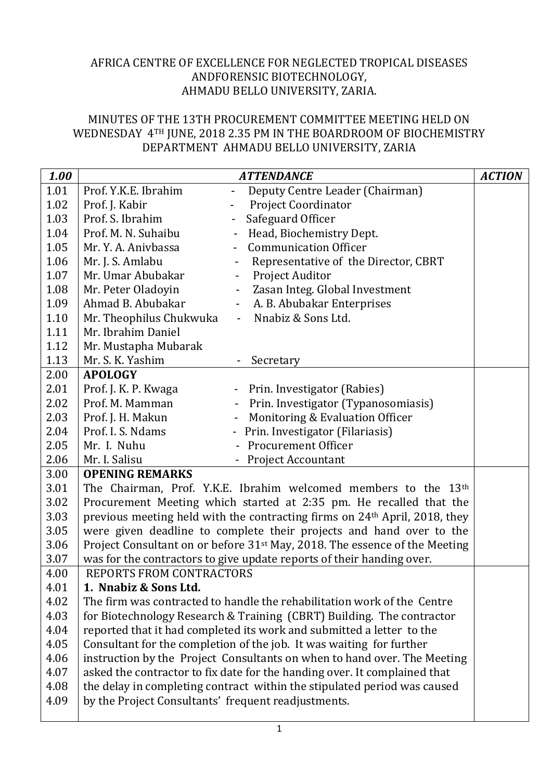## AFRICA CENTRE OF EXCELLENCE FOR NEGLECTED TROPICAL DISEASES ANDFORENSIC BIOTECHNOLOGY, AHMADU BELLO UNIVERSITY, ZARIA.

## MINUTES OF THE 13TH PROCUREMENT COMMITTEE MEETING HELD ON WEDNESDAY 4TH JUNE, 2018 2.35 PM IN THE BOARDROOM OF BIOCHEMISTRY DEPARTMENT AHMADU BELLO UNIVERSITY, ZARIA

| 1.00 | <b>ATTENDANCE</b>                                                                      |                                                                  | <b>ACTION</b> |  |
|------|----------------------------------------------------------------------------------------|------------------------------------------------------------------|---------------|--|
| 1.01 | Prof. Y.K.E. Ibrahim                                                                   | Deputy Centre Leader (Chairman)                                  |               |  |
| 1.02 | Prof. J. Kabir                                                                         | <b>Project Coordinator</b>                                       |               |  |
| 1.03 | Prof. S. Ibrahim                                                                       | Safeguard Officer<br>$\blacksquare$                              |               |  |
| 1.04 | Prof. M. N. Suhaibu                                                                    | Head, Biochemistry Dept.                                         |               |  |
| 1.05 | Mr. Y. A. Anivbassa                                                                    | <b>Communication Officer</b>                                     |               |  |
| 1.06 | Mr. J. S. Amlabu                                                                       | Representative of the Director, CBRT<br>$\overline{\phantom{0}}$ |               |  |
| 1.07 | Mr. Umar Abubakar                                                                      | Project Auditor<br>$\qquad \qquad -$                             |               |  |
| 1.08 | Mr. Peter Oladoyin                                                                     | Zasan Integ. Global Investment<br>$\sim 100$                     |               |  |
| 1.09 | Ahmad B. Abubakar                                                                      | A. B. Abubakar Enterprises<br>$\overline{\phantom{a}}$           |               |  |
| 1.10 | Mr. Theophilus Chukwuka                                                                | Nnabiz & Sons Ltd.<br>$\overline{\phantom{a}}$                   |               |  |
| 1.11 | Mr. Ibrahim Daniel                                                                     |                                                                  |               |  |
| 1.12 | Mr. Mustapha Mubarak                                                                   |                                                                  |               |  |
| 1.13 | Mr. S. K. Yashim                                                                       | Secretary                                                        |               |  |
| 2.00 | <b>APOLOGY</b>                                                                         |                                                                  |               |  |
| 2.01 | Prof. J. K. P. Kwaga                                                                   | - Prin. Investigator (Rabies)                                    |               |  |
| 2.02 | Prof. M. Mamman                                                                        | Prin. Investigator (Typanosomiasis)                              |               |  |
| 2.03 | Prof. J. H. Makun                                                                      | Monitoring & Evaluation Officer<br>$\blacksquare$                |               |  |
| 2.04 | Prof. I. S. Ndams                                                                      | - Prin. Investigator (Filariasis)                                |               |  |
| 2.05 | Mr. I. Nuhu                                                                            | - Procurement Officer                                            |               |  |
| 2.06 | Mr. I. Salisu                                                                          | - Project Accountant                                             |               |  |
| 3.00 | <b>OPENING REMARKS</b>                                                                 |                                                                  |               |  |
| 3.01 | The Chairman, Prof. Y.K.E. Ibrahim welcomed members to the 13th                        |                                                                  |               |  |
| 3.02 | Procurement Meeting which started at 2:35 pm. He recalled that the                     |                                                                  |               |  |
| 3.03 | previous meeting held with the contracting firms on 24 <sup>th</sup> April, 2018, they |                                                                  |               |  |
| 3.05 | were given deadline to complete their projects and hand over to the                    |                                                                  |               |  |
| 3.06 | Project Consultant on or before 31 <sup>st</sup> May, 2018. The essence of the Meeting |                                                                  |               |  |
| 3.07 | was for the contractors to give update reports of their handing over.                  |                                                                  |               |  |
| 4.00 | REPORTS FROM CONTRACTORS                                                               |                                                                  |               |  |
| 4.01 | 1. Nnabiz & Sons Ltd.                                                                  |                                                                  |               |  |
| 4.02 | The firm was contracted to handle the rehabilitation work of the Centre                |                                                                  |               |  |
| 4.03 | for Biotechnology Research & Training (CBRT) Building. The contractor                  |                                                                  |               |  |
| 4.04 | reported that it had completed its work and submitted a letter to the                  |                                                                  |               |  |
| 4.05 | Consultant for the completion of the job. It was waiting for further                   |                                                                  |               |  |
| 4.06 | instruction by the Project Consultants on when to hand over. The Meeting               |                                                                  |               |  |
| 4.07 | asked the contractor to fix date for the handing over. It complained that              |                                                                  |               |  |
| 4.08 | the delay in completing contract within the stipulated period was caused               |                                                                  |               |  |
| 4.09 | by the Project Consultants' frequent readjustments.                                    |                                                                  |               |  |
|      |                                                                                        |                                                                  |               |  |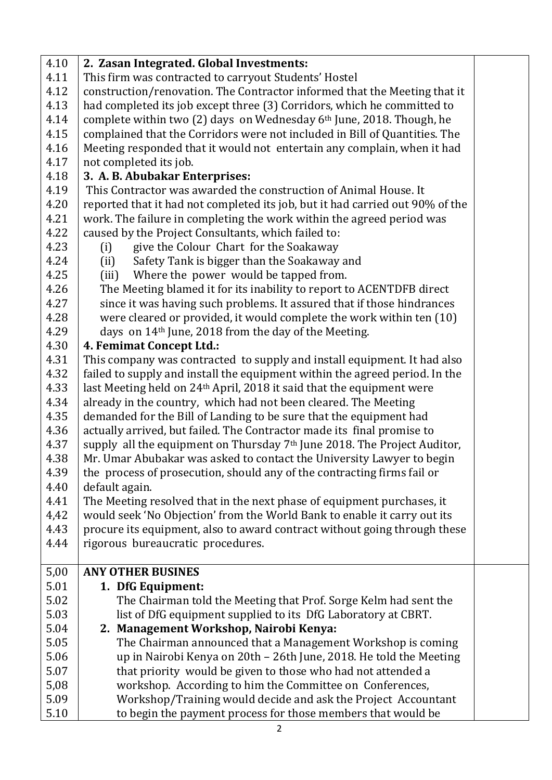| 4.10 | 2. Zasan Integrated. Global Investments:                                             |  |  |  |
|------|--------------------------------------------------------------------------------------|--|--|--|
| 4.11 | This firm was contracted to carryout Students' Hostel                                |  |  |  |
| 4.12 | construction/renovation. The Contractor informed that the Meeting that it            |  |  |  |
| 4.13 | had completed its job except three (3) Corridors, which he committed to              |  |  |  |
| 4.14 | complete within two (2) days on Wednesday 6th June, 2018. Though, he                 |  |  |  |
| 4.15 | complained that the Corridors were not included in Bill of Quantities. The           |  |  |  |
| 4.16 | Meeting responded that it would not entertain any complain, when it had              |  |  |  |
| 4.17 | not completed its job.                                                               |  |  |  |
| 4.18 | 3. A. B. Abubakar Enterprises:                                                       |  |  |  |
| 4.19 | This Contractor was awarded the construction of Animal House. It                     |  |  |  |
| 4.20 | reported that it had not completed its job, but it had carried out 90% of the        |  |  |  |
| 4.21 | work. The failure in completing the work within the agreed period was                |  |  |  |
| 4.22 | caused by the Project Consultants, which failed to:                                  |  |  |  |
| 4.23 | give the Colour Chart for the Soakaway<br>(i)                                        |  |  |  |
| 4.24 | Safety Tank is bigger than the Soakaway and<br>(ii)                                  |  |  |  |
| 4.25 | Where the power would be tapped from.<br>(iii)                                       |  |  |  |
| 4.26 | The Meeting blamed it for its inability to report to ACENTDFB direct                 |  |  |  |
| 4.27 | since it was having such problems. It assured that if those hindrances               |  |  |  |
| 4.28 | were cleared or provided, it would complete the work within ten (10)                 |  |  |  |
| 4.29 | days on 14 <sup>th</sup> June, 2018 from the day of the Meeting.                     |  |  |  |
| 4.30 | 4. Femimat Concept Ltd.:                                                             |  |  |  |
| 4.31 | This company was contracted to supply and install equipment. It had also             |  |  |  |
| 4.32 | failed to supply and install the equipment within the agreed period. In the          |  |  |  |
| 4.33 | last Meeting held on 24 <sup>th</sup> April, 2018 it said that the equipment were    |  |  |  |
| 4.34 | already in the country, which had not been cleared. The Meeting                      |  |  |  |
| 4.35 | demanded for the Bill of Landing to be sure that the equipment had                   |  |  |  |
| 4.36 | actually arrived, but failed. The Contractor made its final promise to               |  |  |  |
| 4.37 | supply all the equipment on Thursday 7 <sup>th</sup> June 2018. The Project Auditor, |  |  |  |
| 4.38 | Mr. Umar Abubakar was asked to contact the University Lawyer to begin                |  |  |  |
| 4.39 | the process of prosecution, should any of the contracting firms fail or              |  |  |  |
| 4.40 | default again.                                                                       |  |  |  |
| 4.41 | The Meeting resolved that in the next phase of equipment purchases, it               |  |  |  |
| 4,42 | would seek 'No Objection' from the World Bank to enable it carry out its             |  |  |  |
| 4.43 | procure its equipment, also to award contract without going through these            |  |  |  |
| 4.44 | rigorous bureaucratic procedures.                                                    |  |  |  |
| 5,00 | <b>ANY OTHER BUSINES</b>                                                             |  |  |  |
| 5.01 | 1. DfG Equipment:                                                                    |  |  |  |
| 5.02 | The Chairman told the Meeting that Prof. Sorge Kelm had sent the                     |  |  |  |
| 5.03 | list of DfG equipment supplied to its DfG Laboratory at CBRT.                        |  |  |  |
| 5.04 | 2. Management Workshop, Nairobi Kenya:                                               |  |  |  |
| 5.05 | The Chairman announced that a Management Workshop is coming                          |  |  |  |
| 5.06 | up in Nairobi Kenya on 20th - 26th June, 2018. He told the Meeting                   |  |  |  |
| 5.07 | that priority would be given to those who had not attended a                         |  |  |  |
| 5,08 | workshop. According to him the Committee on Conferences,                             |  |  |  |
| 5.09 | Workshop/Training would decide and ask the Project Accountant                        |  |  |  |
| 5.10 | to begin the payment process for those members that would be                         |  |  |  |